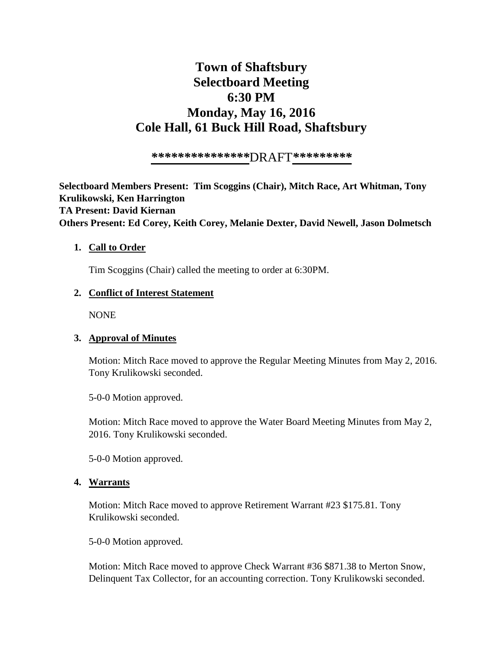# **Town of Shaftsbury Selectboard Meeting 6:30 PM Monday, May 16, 2016 Cole Hall, 61 Buck Hill Road, Shaftsbury**

*\*\*\*\*\*\*\*\*\*\*\*\*\*\*\**DRAFT*\*\*\*\*\*\*\*\*\**

**Selectboard Members Present: Tim Scoggins (Chair), Mitch Race, Art Whitman, Tony Krulikowski, Ken Harrington TA Present: David Kiernan Others Present: Ed Corey, Keith Corey, Melanie Dexter, David Newell, Jason Dolmetsch**

#### **1. Call to Order**

Tim Scoggins (Chair) called the meeting to order at 6:30PM.

#### **2. Conflict of Interest Statement**

NONE

## **3. Approval of Minutes**

Motion: Mitch Race moved to approve the Regular Meeting Minutes from May 2, 2016. Tony Krulikowski seconded.

5-0-0 Motion approved.

Motion: Mitch Race moved to approve the Water Board Meeting Minutes from May 2, 2016. Tony Krulikowski seconded.

5-0-0 Motion approved.

#### **4. Warrants**

Motion: Mitch Race moved to approve Retirement Warrant #23 \$175.81. Tony Krulikowski seconded.

5-0-0 Motion approved.

Motion: Mitch Race moved to approve Check Warrant #36 \$871.38 to Merton Snow, Delinquent Tax Collector, for an accounting correction. Tony Krulikowski seconded.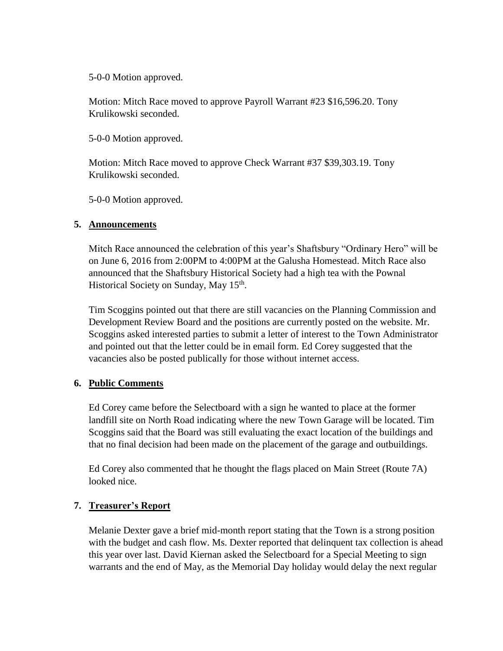5-0-0 Motion approved.

Motion: Mitch Race moved to approve Payroll Warrant #23 \$16,596.20. Tony Krulikowski seconded.

5-0-0 Motion approved.

Motion: Mitch Race moved to approve Check Warrant #37 \$39,303.19. Tony Krulikowski seconded.

5-0-0 Motion approved.

#### **5. Announcements**

Mitch Race announced the celebration of this year's Shaftsbury "Ordinary Hero" will be on June 6, 2016 from 2:00PM to 4:00PM at the Galusha Homestead. Mitch Race also announced that the Shaftsbury Historical Society had a high tea with the Pownal Historical Society on Sunday, May 15<sup>th</sup>.

Tim Scoggins pointed out that there are still vacancies on the Planning Commission and Development Review Board and the positions are currently posted on the website. Mr. Scoggins asked interested parties to submit a letter of interest to the Town Administrator and pointed out that the letter could be in email form. Ed Corey suggested that the vacancies also be posted publically for those without internet access.

## **6. Public Comments**

Ed Corey came before the Selectboard with a sign he wanted to place at the former landfill site on North Road indicating where the new Town Garage will be located. Tim Scoggins said that the Board was still evaluating the exact location of the buildings and that no final decision had been made on the placement of the garage and outbuildings.

Ed Corey also commented that he thought the flags placed on Main Street (Route 7A) looked nice.

## **7. Treasurer's Report**

Melanie Dexter gave a brief mid-month report stating that the Town is a strong position with the budget and cash flow. Ms. Dexter reported that delinquent tax collection is ahead this year over last. David Kiernan asked the Selectboard for a Special Meeting to sign warrants and the end of May, as the Memorial Day holiday would delay the next regular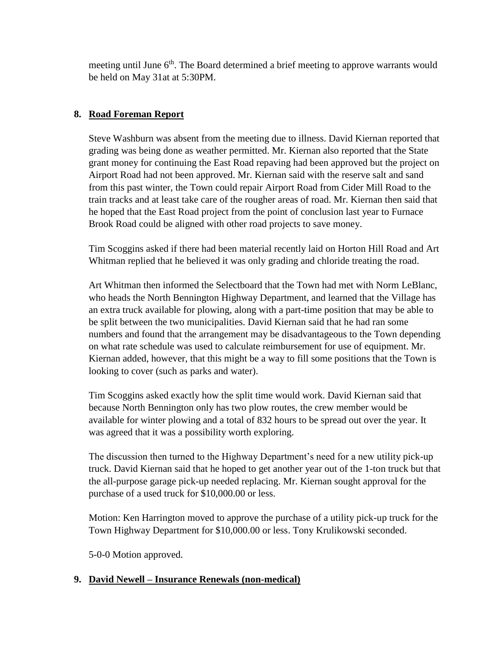meeting until June 6<sup>th</sup>. The Board determined a brief meeting to approve warrants would be held on May 31at at 5:30PM.

# **8. Road Foreman Report**

Steve Washburn was absent from the meeting due to illness. David Kiernan reported that grading was being done as weather permitted. Mr. Kiernan also reported that the State grant money for continuing the East Road repaving had been approved but the project on Airport Road had not been approved. Mr. Kiernan said with the reserve salt and sand from this past winter, the Town could repair Airport Road from Cider Mill Road to the train tracks and at least take care of the rougher areas of road. Mr. Kiernan then said that he hoped that the East Road project from the point of conclusion last year to Furnace Brook Road could be aligned with other road projects to save money.

Tim Scoggins asked if there had been material recently laid on Horton Hill Road and Art Whitman replied that he believed it was only grading and chloride treating the road.

Art Whitman then informed the Selectboard that the Town had met with Norm LeBlanc, who heads the North Bennington Highway Department, and learned that the Village has an extra truck available for plowing, along with a part-time position that may be able to be split between the two municipalities. David Kiernan said that he had ran some numbers and found that the arrangement may be disadvantageous to the Town depending on what rate schedule was used to calculate reimbursement for use of equipment. Mr. Kiernan added, however, that this might be a way to fill some positions that the Town is looking to cover (such as parks and water).

Tim Scoggins asked exactly how the split time would work. David Kiernan said that because North Bennington only has two plow routes, the crew member would be available for winter plowing and a total of 832 hours to be spread out over the year. It was agreed that it was a possibility worth exploring.

The discussion then turned to the Highway Department's need for a new utility pick-up truck. David Kiernan said that he hoped to get another year out of the 1-ton truck but that the all-purpose garage pick-up needed replacing. Mr. Kiernan sought approval for the purchase of a used truck for \$10,000.00 or less.

Motion: Ken Harrington moved to approve the purchase of a utility pick-up truck for the Town Highway Department for \$10,000.00 or less. Tony Krulikowski seconded.

5-0-0 Motion approved.

## **9. David Newell – Insurance Renewals (non-medical)**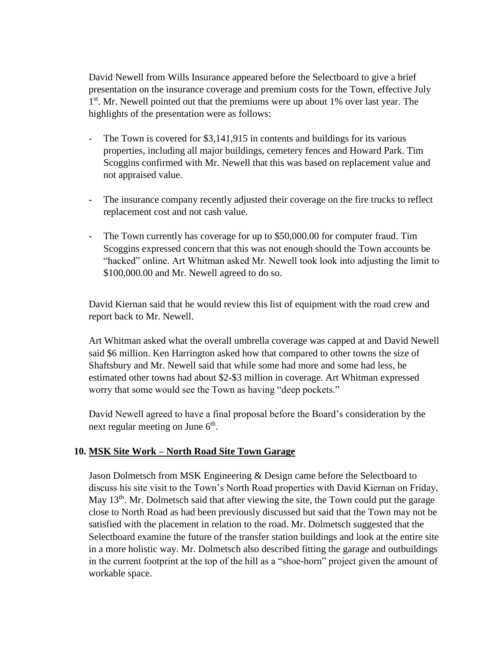David Newell from Wills Insurance appeared before the Selectboard to give a brief presentation on the insurance coverage and premium costs for the Town, effective July 1<sup>st</sup>. Mr. Newell pointed out that the premiums were up about 1% over last year. The highlights of the presentation were as follows:

- The Town is covered for \$3,141,915 in contents and buildings for its various properties, including all major buildings, cemetery fences and Howard Park. Tim Scoggins confirmed with Mr. Newell that this was based on replacement value and not appraised value.
- The insurance company recently adjusted their coverage on the fire trucks to reflect replacement cost and not cash value.
- The Town currently has coverage for up to \$50,000.00 for computer fraud. Tim Scoggins expressed concern that this was not enough should the Town accounts be "hacked" online. Art Whitman asked Mr. Newell took look into adjusting the limit to \$100,000.00 and Mr. Newell agreed to do so.

David Kiernan said that he would review this list of equipment with the road crew and report back to Mr. Newell.

Art Whitman asked what the overall umbrella coverage was capped at and David Newell said \$6 million. Ken Harrington asked how that compared to other towns the size of Shaftsbury and Mr. Newell said that while some had more and some had less, he estimated other towns had about \$2-\$3 million in coverage. Art Whitman expressed worry that some would see the Town as having "deep pockets."

David Newell agreed to have a final proposal before the Board's consideration by the next regular meeting on June 6<sup>th</sup>.

## **10. MSK Site Work – North Road Site Town Garage**

Jason Dolmetsch from MSK Engineering & Design came before the Selectboard to discuss his site visit to the Town's North Road properties with David Kiernan on Friday, May  $13<sup>th</sup>$ . Mr. Dolmetsch said that after viewing the site, the Town could put the garage close to North Road as had been previously discussed but said that the Town may not be satisfied with the placement in relation to the road. Mr. Dolmetsch suggested that the Selectboard examine the future of the transfer station buildings and look at the entire site in a more holistic way. Mr. Dolmetsch also described fitting the garage and outbuildings in the current footprint at the top of the hill as a "shoe-horn" project given the amount of workable space.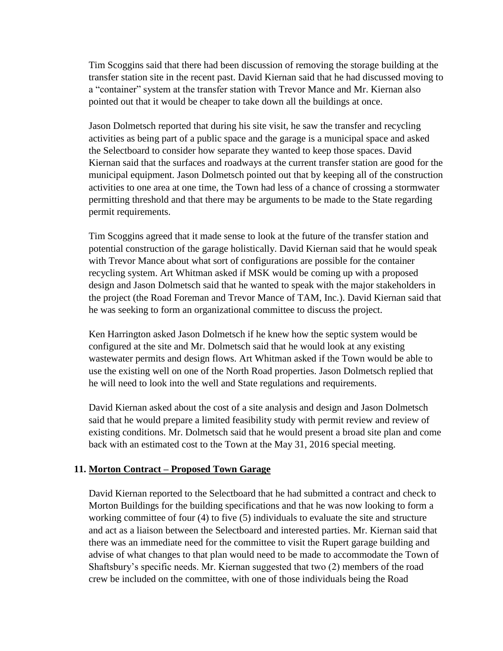Tim Scoggins said that there had been discussion of removing the storage building at the transfer station site in the recent past. David Kiernan said that he had discussed moving to a "container" system at the transfer station with Trevor Mance and Mr. Kiernan also pointed out that it would be cheaper to take down all the buildings at once.

Jason Dolmetsch reported that during his site visit, he saw the transfer and recycling activities as being part of a public space and the garage is a municipal space and asked the Selectboard to consider how separate they wanted to keep those spaces. David Kiernan said that the surfaces and roadways at the current transfer station are good for the municipal equipment. Jason Dolmetsch pointed out that by keeping all of the construction activities to one area at one time, the Town had less of a chance of crossing a stormwater permitting threshold and that there may be arguments to be made to the State regarding permit requirements.

Tim Scoggins agreed that it made sense to look at the future of the transfer station and potential construction of the garage holistically. David Kiernan said that he would speak with Trevor Mance about what sort of configurations are possible for the container recycling system. Art Whitman asked if MSK would be coming up with a proposed design and Jason Dolmetsch said that he wanted to speak with the major stakeholders in the project (the Road Foreman and Trevor Mance of TAM, Inc.). David Kiernan said that he was seeking to form an organizational committee to discuss the project.

Ken Harrington asked Jason Dolmetsch if he knew how the septic system would be configured at the site and Mr. Dolmetsch said that he would look at any existing wastewater permits and design flows. Art Whitman asked if the Town would be able to use the existing well on one of the North Road properties. Jason Dolmetsch replied that he will need to look into the well and State regulations and requirements.

David Kiernan asked about the cost of a site analysis and design and Jason Dolmetsch said that he would prepare a limited feasibility study with permit review and review of existing conditions. Mr. Dolmetsch said that he would present a broad site plan and come back with an estimated cost to the Town at the May 31, 2016 special meeting.

#### **11. Morton Contract – Proposed Town Garage**

David Kiernan reported to the Selectboard that he had submitted a contract and check to Morton Buildings for the building specifications and that he was now looking to form a working committee of four (4) to five (5) individuals to evaluate the site and structure and act as a liaison between the Selectboard and interested parties. Mr. Kiernan said that there was an immediate need for the committee to visit the Rupert garage building and advise of what changes to that plan would need to be made to accommodate the Town of Shaftsbury's specific needs. Mr. Kiernan suggested that two (2) members of the road crew be included on the committee, with one of those individuals being the Road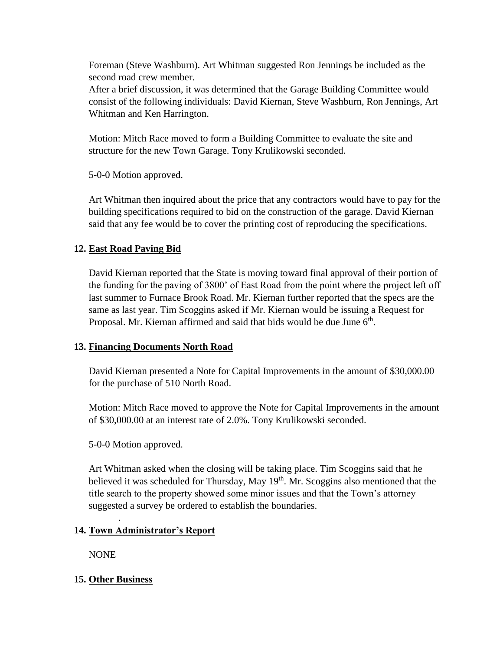Foreman (Steve Washburn). Art Whitman suggested Ron Jennings be included as the second road crew member.

After a brief discussion, it was determined that the Garage Building Committee would consist of the following individuals: David Kiernan, Steve Washburn, Ron Jennings, Art Whitman and Ken Harrington.

Motion: Mitch Race moved to form a Building Committee to evaluate the site and structure for the new Town Garage. Tony Krulikowski seconded.

5-0-0 Motion approved.

Art Whitman then inquired about the price that any contractors would have to pay for the building specifications required to bid on the construction of the garage. David Kiernan said that any fee would be to cover the printing cost of reproducing the specifications.

# **12. East Road Paving Bid**

David Kiernan reported that the State is moving toward final approval of their portion of the funding for the paving of 3800' of East Road from the point where the project left off last summer to Furnace Brook Road. Mr. Kiernan further reported that the specs are the same as last year. Tim Scoggins asked if Mr. Kiernan would be issuing a Request for Proposal. Mr. Kiernan affirmed and said that bids would be due June 6<sup>th</sup>.

## **13. Financing Documents North Road**

David Kiernan presented a Note for Capital Improvements in the amount of \$30,000.00 for the purchase of 510 North Road.

Motion: Mitch Race moved to approve the Note for Capital Improvements in the amount of \$30,000.00 at an interest rate of 2.0%. Tony Krulikowski seconded.

5-0-0 Motion approved.

Art Whitman asked when the closing will be taking place. Tim Scoggins said that he believed it was scheduled for Thursday, May 19<sup>th</sup>. Mr. Scoggins also mentioned that the title search to the property showed some minor issues and that the Town's attorney suggested a survey be ordered to establish the boundaries.

# **14. Town Administrator's Report**

NONE

# **15. Other Business**

.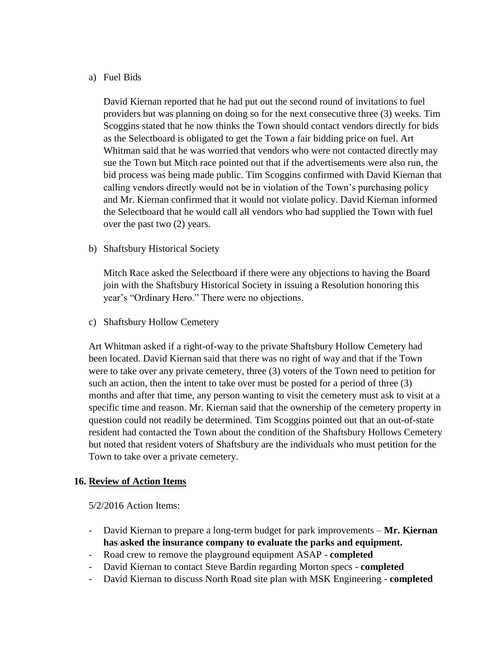#### a) Fuel Bids

David Kiernan reported that he had put out the second round of invitations to fuel providers but was planning on doing so for the next consecutive three (3) weeks. Tim Scoggins stated that he now thinks the Town should contact vendors directly for bids as the Selectboard is obligated to get the Town a fair bidding price on fuel. Art Whitman said that he was worried that vendors who were not contacted directly may sue the Town but Mitch race pointed out that if the advertisements were also run, the bid process was being made public. Tim Scoggins confirmed with David Kiernan that calling vendors directly would not be in violation of the Town's purchasing policy and Mr. Kiernan confirmed that it would not violate policy. David Kiernan informed the Selectboard that he would call all vendors who had supplied the Town with fuel over the past two (2) years.

b) Shaftsbury Historical Society

Mitch Race asked the Selectboard if there were any objections to having the Board join with the Shaftsbury Historical Society in issuing a Resolution honoring this year's "Ordinary Hero." There were no objections.

c) Shaftsbury Hollow Cemetery

Art Whitman asked if a right-of-way to the private Shaftsbury Hollow Cemetery had been located. David Kiernan said that there was no right of way and that if the Town were to take over any private cemetery, three (3) voters of the Town need to petition for such an action, then the intent to take over must be posted for a period of three (3) months and after that time, any person wanting to visit the cemetery must ask to visit at a specific time and reason. Mr. Kiernan said that the ownership of the cemetery property in question could not readily be determined. Tim Scoggins pointed out that an out-of-state resident had contacted the Town about the condition of the Shaftsbury Hollows Cemetery but noted that resident voters of Shaftsbury are the individuals who must petition for the Town to take over a private cemetery.

## **16. Review of Action Items**

5/2/2016 Action Items:

- David Kiernan to prepare a long-term budget for park improvements **Mr. Kiernan has asked the insurance company to evaluate the parks and equipment.**
- Road crew to remove the playground equipment ASAP **completed**
- David Kiernan to contact Steve Bardin regarding Morton specs **completed**
- David Kiernan to discuss North Road site plan with MSK Engineering **completed**